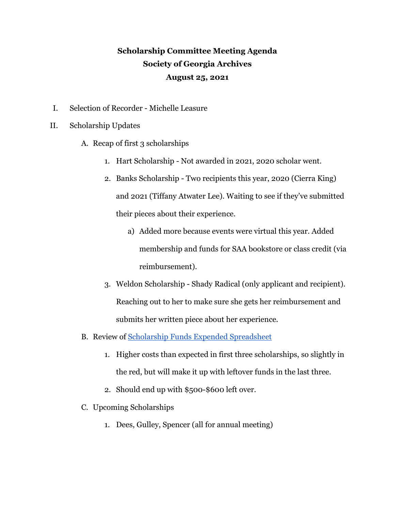## **Scholarship Committee Meeting Agenda Society of Georgia Archives August 25, 2021**

- I. Selection of Recorder Michelle Leasure
- II. Scholarship Updates
	- A. Recap of first 3 scholarships
		- 1. Hart Scholarship Not awarded in 2021, 2020 scholar went.
		- 2. Banks Scholarship Two recipients this year, 2020 (Cierra King) and 2021 (Tiffany Atwater Lee). Waiting to see if they've submitted their pieces about their experience.
			- a) Added more because events were virtual this year. Added membership and funds for SAA bookstore or class credit (via reimbursement).
		- 3. Weldon Scholarship Shady Radical (only applicant and recipient). Reaching out to her to make sure she gets her reimbursement and submits her written piece about her experience.
	- B. Review of [Scholarship Funds Expended Spreadsheet](https://docs.google.com/spreadsheets/u/1/d/1ufnv_7NOkRDP7EfcXuQj3rsVQeHnoQD-IAUZ06p7idY/edit)
		- 1. Higher costs than expected in first three scholarships, so slightly in the red, but will make it up with leftover funds in the last three.
		- 2. Should end up with \$500-\$600 left over.
	- C. Upcoming Scholarships
		- 1. Dees, Gulley, Spencer (all for annual meeting)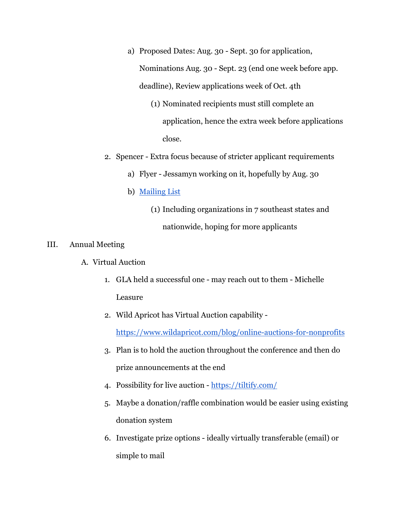- a) Proposed Dates: Aug. 30 Sept. 30 for application, Nominations Aug. 30 - Sept. 23 (end one week before app. deadline), Review applications week of Oct. 4th
	- (1) Nominated recipients must still complete an application, hence the extra week before applications close.
- 2. Spencer Extra focus because of stricter applicant requirements
	- a) Flyer Jessamyn working on it, hopefully by Aug. 30
	- b) [Mailing List](https://docs.google.com/spreadsheets/d/1bm7-HLlu7vJ1bYi7mdqaojB2nBt4dBy0-Az8i0bWBj4/edit#gid=0)
		- (1) Including organizations in 7 southeast states and nationwide, hoping for more applicants

## III. Annual Meeting

- A. Virtual Auction
	- 1. GLA held a successful one may reach out to them Michelle Leasure
	- 2. Wild Apricot has Virtual Auction capability -

<https://www.wildapricot.com/blog/online-auctions-for-nonprofits>

- 3. Plan is to hold the auction throughout the conference and then do prize announcements at the end
- 4. Possibility for live auction <https://tiltify.com/>
- 5. Maybe a donation/raffle combination would be easier using existing donation system
- 6. Investigate prize options ideally virtually transferable (email) or simple to mail